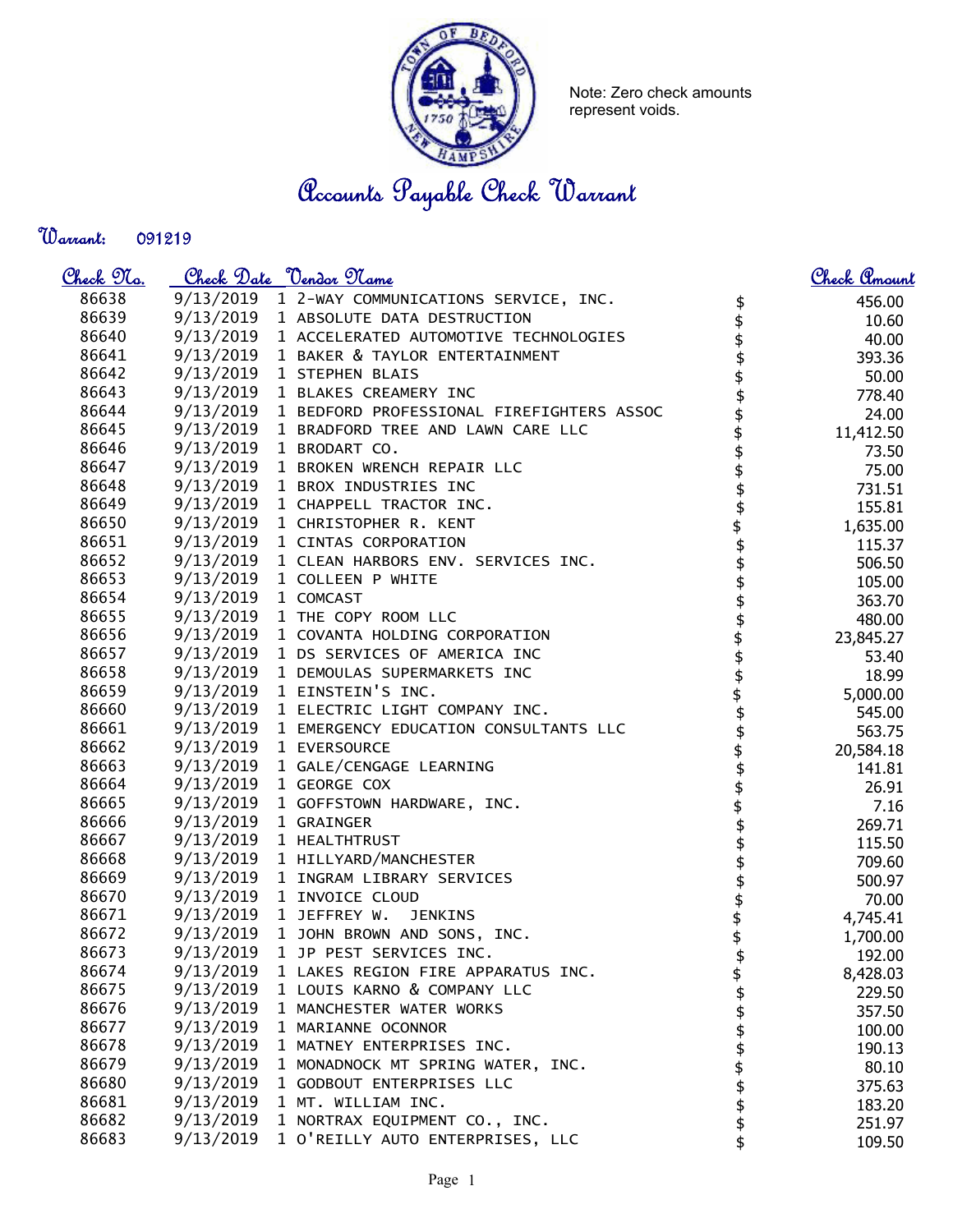

Note: Zero check amounts represent voids.

Accounts Payable Check Warrant

Warrant: 

| <u>Check No.</u> |                      | Check Date <u>Vendor Name</u>                                          |                  | <u>Check Amount</u> |
|------------------|----------------------|------------------------------------------------------------------------|------------------|---------------------|
| 86638            |                      | 9/13/2019 1 2-WAY COMMUNICATIONS SERVICE, INC.                         | \$               | 456.00              |
| 86639            |                      | 9/13/2019 1 ABSOLUTE DATA DESTRUCTION                                  | \$               | 10.60               |
| 86640            |                      | 9/13/2019 1 ACCELERATED AUTOMOTIVE TECHNOLOGIES                        |                  | 40.00               |
| 86641            |                      | 9/13/2019 1 BAKER & TAYLOR ENTERTAINMENT                               | \$<br>\$         | 393.36              |
| 86642            |                      | 9/13/2019 1 STEPHEN BLAIS                                              | \$               | 50.00               |
| 86643            |                      | 9/13/2019 1 BLAKES CREAMERY INC                                        |                  | 778.40              |
| 86644            |                      | 9/13/2019 1 BEDFORD PROFESSIONAL FIREFIGHTERS ASSOC                    | \$<br>\$         | 24.00               |
| 86645            |                      | 9/13/2019 1 BRADFORD TREE AND LAWN CARE LLC                            | \$               | 11,412.50           |
| 86646            |                      | 9/13/2019 1 BRODART CO.                                                | \$               | 73.50               |
| 86647            |                      | 9/13/2019 1 BROKEN WRENCH REPAIR LLC                                   | \$<br>\$         | 75.00               |
| 86648            |                      | 9/13/2019 1 BROX INDUSTRIES INC                                        |                  | 731.51              |
| 86649            |                      | 9/13/2019 1 CHAPPELL TRACTOR INC.                                      |                  | 155.81              |
| 86650            |                      | 9/13/2019 1 CHRISTOPHER R. KENT                                        |                  | 1,635.00            |
| 86651            |                      | 9/13/2019 1 CINTAS CORPORATION                                         | .<br>\$<br>\$    | 115.37              |
| 86652            |                      | 9/13/2019 1 CLEAN HARBORS ENV. SERVICES INC.                           |                  | 506.50              |
| 86653            |                      | 9/13/2019 1 COLLEEN P WHITE                                            |                  | 105.00              |
| 86654            | 9/13/2019 1 COMCAST  |                                                                        |                  | 363.70              |
| 86655            |                      | 9/13/2019 1 THE COPY ROOM LLC                                          |                  | 480.00              |
| 86656            |                      | 9/13/2019 1 COVANTA HOLDING CORPORATION                                |                  | 23,845.27           |
| 86657            |                      | 9/13/2019 1 DS SERVICES OF AMERICA INC                                 |                  | 53.40               |
| 86658            |                      | 9/13/2019 1 DEMOULAS SUPERMARKETS INC                                  |                  | 18.99               |
| 86659            |                      | 9/13/2019 1 EINSTEIN'S INC.<br>9/13/2019 1 ELECTRIC LIGHT COMPANY INC. |                  | 5,000.00            |
| 86660            |                      | 9/13/2019 1 EMERGENCY EDUCATION CONSULTANTS LLC                        | \$\$\$\$\$\$\$\$ | 545.00              |
| 86661<br>86662   |                      | 9/13/2019 1 EVERSOURCE                                                 |                  | 563.75              |
| 86663            |                      | 9/13/2019 1 GALE/CENGAGE LEARNING                                      | \$\$\$\$         | 20,584.18           |
| 86664            |                      | 9/13/2019 1 GEORGE COX                                                 |                  | 141.81              |
| 86665            |                      | 9/13/2019 1 GOFFSTOWN HARDWARE, INC.                                   |                  | 26.91               |
| 86666            | 9/13/2019 1 GRAINGER |                                                                        |                  | 7.16                |
| 86667            |                      | 9/13/2019 1 HEALTHTRUST                                                |                  | 269.71              |
| 86668            |                      | 9/13/2019 1 HILLYARD/MANCHESTER                                        |                  | 115.50              |
| 86669            |                      | 9/13/2019 1 INGRAM LIBRARY SERVICES                                    |                  | 709.60<br>500.97    |
| 86670            |                      | 9/13/2019 1 INVOICE CLOUD                                              |                  | 70.00               |
| 86671            |                      | 9/13/2019 1 JEFFREY W.<br><b>JENKINS</b>                               | \$\$\$\$         | 4,745.41            |
| 86672            |                      | 9/13/2019 1 JOHN BROWN AND SONS, INC.                                  |                  | 1,700.00            |
| 86673            |                      | 9/13/2019 1 JP PEST SERVICES INC.                                      |                  | 192.00              |
| 86674            | 9/13/2019            | 1 LAKES REGION FIRE APPARATUS INC.                                     | \$               | 8,428.03            |
| 86675            | 9/13/2019            | 1 LOUIS KARNO & COMPANY LLC                                            |                  | 229.50              |
| 86676            | 9/13/2019            | 1 MANCHESTER WATER WORKS                                               |                  | 357.50              |
| 86677            | 9/13/2019            | 1 MARIANNE OCONNOR                                                     |                  | 100.00              |
| 86678            | 9/13/2019            | 1 MATNEY ENTERPRISES INC.                                              |                  | 190.13              |
| 86679            | 9/13/2019            | 1 MONADNOCK MT SPRING WATER, INC.                                      |                  | 80.10               |
| 86680            | 9/13/2019            | 1 GODBOUT ENTERPRISES LLC                                              |                  | 375.63              |
| 86681            | 9/13/2019            | 1 MT. WILLIAM INC.                                                     |                  | 183.20              |
| 86682            | 9/13/2019            | 1 NORTRAX EQUIPMENT CO., INC.                                          |                  | 251.97              |
| 86683            | 9/13/2019            | 1 O'REILLY AUTO ENTERPRISES, LLC                                       |                  | 109.50              |